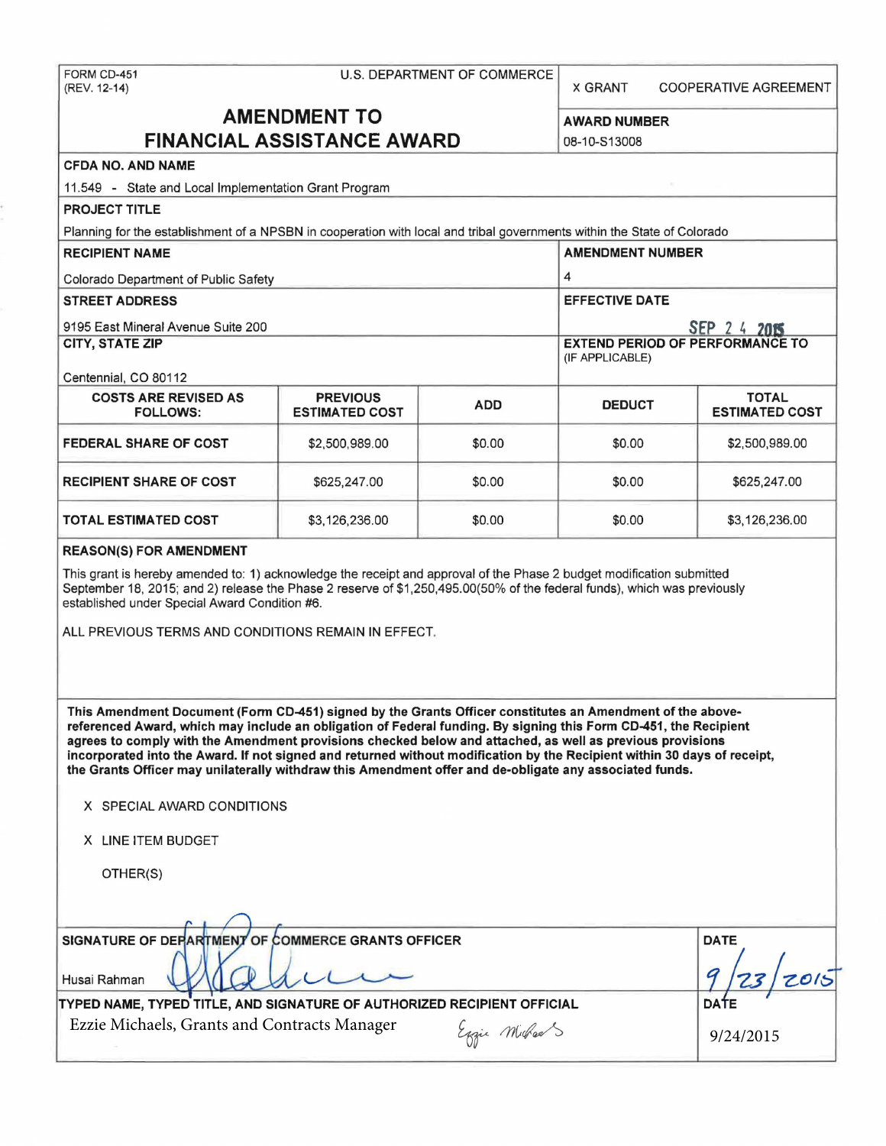X GRANT COOPERATIVE AGREEMENT

# **AMENDMENT TO** AWARD NUMBER **FINANCIAL ASSISTANCE AWARD 108-10-S13008**

# CFDA NO. AND NAME

11.549 - State and Local Implementation Grant Program

# PROJECT TITLE

Planning for the establishment of a NPSBN in cooperation with local and tribal governments within the State of Colorado

| <b>RECIPIENT NAME</b>                          | <b>AMENDMENT NUMBER</b>                                   |            |               |                                       |
|------------------------------------------------|-----------------------------------------------------------|------------|---------------|---------------------------------------|
| Colorado Department of Public Safety           | 4                                                         |            |               |                                       |
| <b>STREET ADDRESS</b>                          | <b>EFFECTIVE DATE</b>                                     |            |               |                                       |
| 9195 East Mineral Avenue Suite 200             | SEP 2 4 2015                                              |            |               |                                       |
| <b>CITY, STATE ZIP</b>                         | <b>EXTEND PERIOD OF PERFORMANCE TO</b><br>(IF APPLICABLE) |            |               |                                       |
| Centennial, CO 80112                           |                                                           |            |               |                                       |
| <b>COSTS ARE REVISED AS</b><br><b>FOLLOWS:</b> | <b>PREVIOUS</b><br><b>ESTIMATED COST</b>                  | <b>ADD</b> | <b>DEDUCT</b> | <b>TOTAL</b><br><b>ESTIMATED COST</b> |
| <b>FEDERAL SHARE OF COST</b>                   | \$2,500,989.00                                            | \$0.00     | \$0.00        | \$2,500,989.00                        |
| <b>RECIPIENT SHARE OF COST</b>                 | \$625,247.00                                              | \$0.00     | \$0.00        | \$625,247.00                          |
| <b>TOTAL ESTIMATED COST</b>                    | \$3,126,236.00                                            | \$0.00     | \$0.00        | \$3,126,236.00                        |

#### REASON(S) FOR AMENDMENT

This grant is hereby amended to: 1) acknowledge the receipt and approval of the Phase 2 budget modification submitted September 18, 2015; and 2) release the Phase 2 reserve of \$1,250,495.00(50% of the federal funds), which was previously established under Special Award Condition #6.

ALL PREVIOUS TERMS AND CONDITIONS REMAIN IN EFFECT.

This Amendment Document (Fonn CD-451) signed by the Grants Officer constitutes an Amendment of the abovereferenced Award, which may include an obligation of Federal funding. By signing this Form CD-451, the Recipient agrees to comply with the Amendment provisions checked below and attached, as well as previous provisions incorporated into the Award. If not signed and returned without modification by the Recipient within 30 days of receipt, the Grants Officer may unilaterally withdraw this Amendment offer and de-obligate any associated funds.

| X SPECIAL AWARD CONDITIONS |
|----------------------------|
|----------------------------|

X LINE ITEM BUDGET

OTHER(S)

| OTHER(S)                                           |                 |
|----------------------------------------------------|-----------------|
| SIGNATURE OF DEPARTMENT OF COMMERCE GRANTS OFFICER | <b>DATE</b>     |
| Husai Rahman                                       | a<br>2015<br>23 |

TYPED NAME, TYPED TITLE, AND SIGNATURE OF AUTHORIZED RECIPIENT OFFICIAL **Example 12** DATE

Ezzie Michaels, Grants and Contracts Manager  $\mathcal{E}_{gqu}$  Michaels Eggie Milhaels